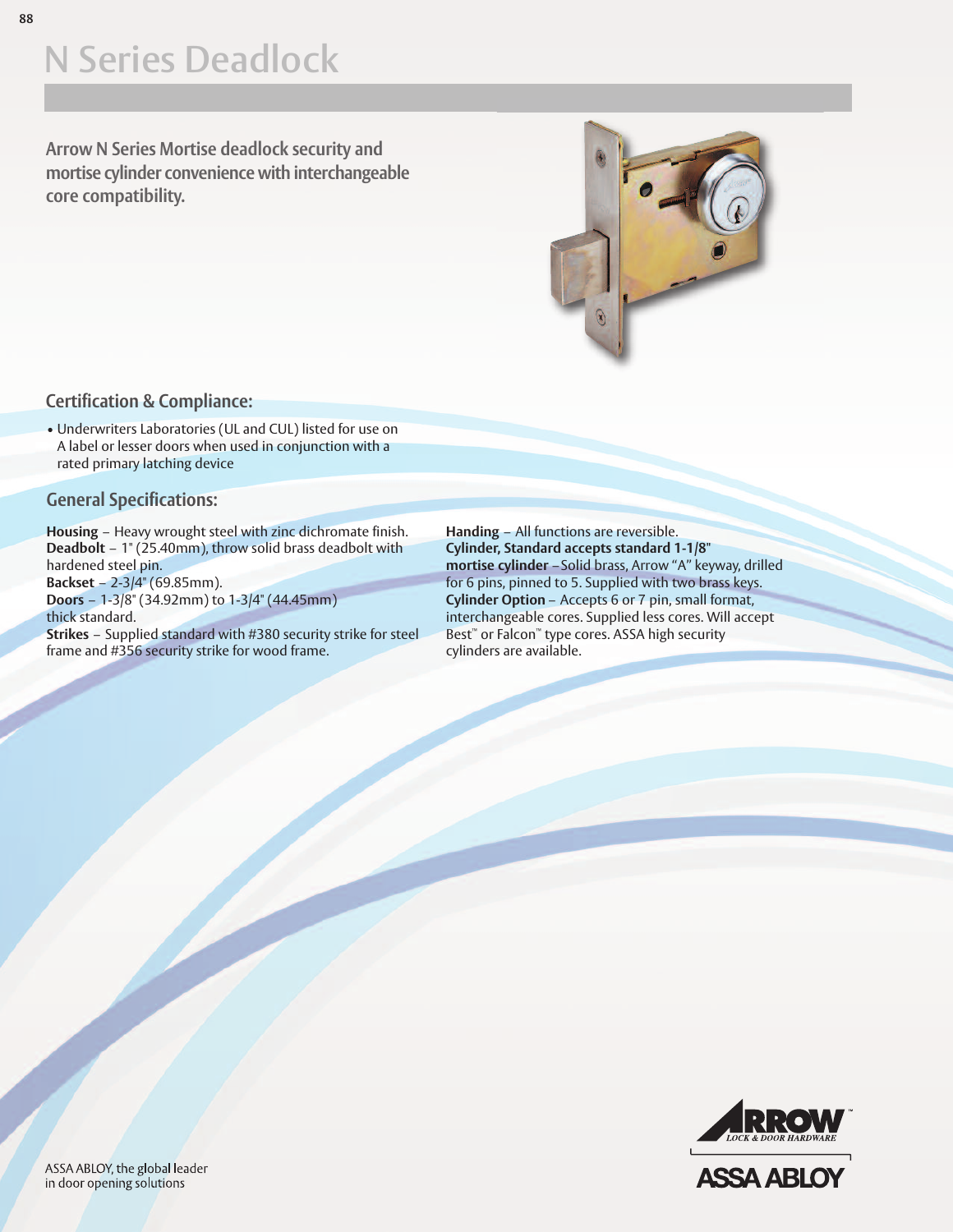# **N Series Deadlock**

**Arrow N Series Mortise deadlock security and mortise cylinder convenience with interchangeable core compatibility.**



#### **Certification & Compliance:**

• Underwriters Laboratories (UL and CUL) listed for use on A label or lesser doors when used in conjunction with a rated primary latching device

#### **General Specifications:**

**Housing** – Heavy wrought steel with zinc dichromate finish. **Deadbolt** – 1" (25.40mm), throw solid brass deadbolt with hardened steel pin.

**Backset** – 2-3/4" (69.85mm). **Doors** – 1-3/8" (34.92mm) to 1-3/4" (44.45mm) thick standard.

**Strikes** – Supplied standard with #380 security strike for steel frame and #356 security strike for wood frame.

**Handing** – All functions are reversible. **Cylinder, Standard accepts standard 1-1/8" mortise cylinder** –Solid brass, Arrow "A" keyway, drilled for 6 pins, pinned to 5. Supplied with two brass keys. **Cylinder Option** – Accepts 6 or 7 pin, small format, interchangeable cores. Supplied less cores. Will accept Best ™ or Falcon™ type cores. ASSA high security cylinders are available.